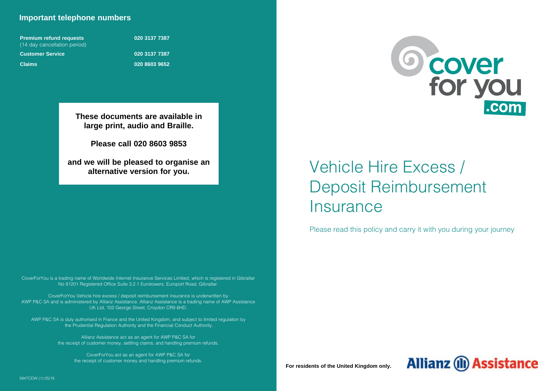# **Important telephone numbers**

| <b>Premium refund requests</b> |  |  |  |  |  |
|--------------------------------|--|--|--|--|--|
| (14 day cancellation period)   |  |  |  |  |  |
| <b>Customer Service</b>        |  |  |  |  |  |
| <b>Claims</b>                  |  |  |  |  |  |

**Premium refund requests 020 3137 7387 Customer Service 020 3137 7387 Claims 020 8603 9652**

**These documents are available in large print, audio and Braille.**

**Please call 020 8603 9853** 

**and we will be pleased to organise an alternative version for you.**

CoverForYou is a trading name of Worldwide Internet Insurance Services Limited, which is registered in Gibraltar No 81201 Registered Office Suite 3.2.1 Eurotowers, Europort Road, Gibraltar.

CoverForYou Vehicle hire excess / deposit reimbursement insurance is underwritten by AWP P&C SA and is administered by Allianz Assistance. Allianz Assistance is a trading name of AWP Assistance UK Ltd, 102 George Street, Croydon CR9 6HD.

AWP P&C SA is duly authorised in France and the United Kingdom, and subject to limited regulation by the Prudential Regulation Authority and the Financial Conduct Authority.

> Allianz Assistance act as an agent for AWP P&C SA for the receipt of customer money, settling claims, and handling premium refunds.

CoverForYou act as an agent for AWP P&C SA for the receipt of customer money and handling premium refunds.



# Vehicle Hire Excess / Deposit Reimbursement **Insurance**

Please read this policy and carry it with you during your journey

**For residents of the United Kingdom only.**

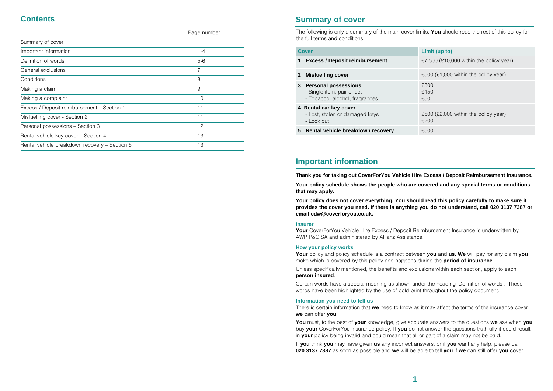# **Contents**

|                                               | Page number |
|-----------------------------------------------|-------------|
| Summary of cover                              |             |
| Important information                         | $1 - 4$     |
| Definition of words                           | $5-6$       |
| General exclusions                            | 7           |
| Conditions                                    | 8           |
| Making a claim                                | 9           |
| Making a complaint                            | 10          |
| Excess / Deposit reimbursement – Section 1    | 11          |
| Misfuelling cover - Section 2                 | 11          |
| Personal possessions - Section 3              | 12          |
| Rental vehicle key cover - Section 4          | 13          |
| Rental vehicle breakdown recovery - Section 5 | 13          |
|                                               |             |

# **Summary of cover**

The following is only a summary of the main cover limits. **You** should read the rest of this policy for the full terms and conditions.

|    | Cover                                                                                       | Limit (up to)                                |
|----|---------------------------------------------------------------------------------------------|----------------------------------------------|
| 1  | <b>Excess / Deposit reimbursement</b>                                                       | £7,500 (£10,000 within the policy year)      |
|    | 2 Misfuelling cover                                                                         | £500 (£1,000 within the policy year)         |
| 3  | <b>Personal possessions</b><br>- Single item, pair or set<br>- Tobacco, alcohol, fragrances | £300<br>£150<br>£50                          |
|    | 4 Rental car key cover<br>- Lost, stolen or damaged keys<br>- Lock out                      | £500 (£2,000 within the policy year)<br>£200 |
| 5. | Rental vehicle breakdown recovery                                                           | £500                                         |

# **Important information**

**Thank you for taking out CoverForYou Vehicle Hire Excess / Deposit Reimbursement insurance.**

**Your policy schedule shows the people who are covered and any special terms or conditions that may apply.**

**Your policy does not cover everything. You should read this policy carefully to make sure it provides the cover you need. If there is anything you do not understand, call 020 3137 7387 or email cdw@coverforyou.co.uk.**

#### **Insurer**

**Your** CoverForYou Vehicle Hire Excess / Deposit Reimbursement Insurance is underwritten by AWP P&C SA and administered by Allianz Assistance.

# **How your policy works**

**Your** policy and policy schedule is a contract between **you** and **us**. **We** will pay for any claim **you** make which is covered by this policy and happens during the **period of insurance**.

Unless specifically mentioned, the benefits and exclusions within each section, apply to each

# **person insured**.

Certain words have a special meaning as shown under the heading 'Definition of words'. These words have been highlighted by the use of bold print throughout the policy document.

# **Information you need to tell us**

There is certain information that **we** need to know as it may affect the terms of the insurance cover **we** can offer **you**.

**You** must, to the best of **your** knowledge, give accurate answers to the questions **we** ask when **you** buy **your** CoverForYou insurance policy. If **you** do not answer the questions truthfully it could result in **your** policy being invalid and could mean that all or part of a claim may not be paid.

If **you** think **you** may have given **us** any incorrect answers, or if **you** want any help, please call **020 3137 7387** as soon as possible and **we** will be able to tell **you** if **we** can still offer **you** cover.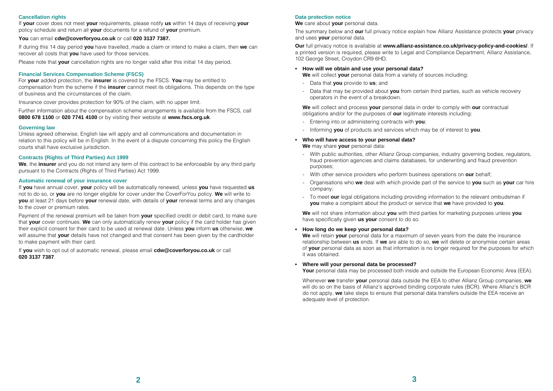# **Cancellation rights**

If **your** cover does not meet **your** requirements, please notify **us** within 14 days of receiving **your** policy schedule and return all **your** documents for a refund of **your** premium.

# **You** can email **cdw@coverforyou.co.uk** or call **020 3137 7387.**

If during this 14 day period **you** have travelled, made a claim or intend to make a claim, then **we** can recover all costs that **you** have used for those services.

Please note that **your** cancellation rights are no longer valid after this initial 14 day period.

# **Financial Services Compensation Scheme (FSCS)**

For **your** added protection, the **insurer** is covered by the FSCS. **You** may be entitled to compensation from the scheme if the **insurer** cannot meet its obligations. This depends on the type of business and the circumstances of the claim.

Insurance cover provides protection for 90% of the claim, with no upper limit.

Further information about the compensation scheme arrangements is available from the FSCS, call **0800 678 1100** or **020 7741 4100** or by visiting their website at **www.fscs.org.uk**.

# **Governing law**

Unless agreed otherwise, English law will apply and all communications and documentation in relation to this policy will be in English. In the event of a dispute concerning this policy the English courts shall have exclusive jurisdiction.

# **Contracts (Rights of Third Parties) Act 1999**

**We**, the **insurer** and you do not intend any term of this contract to be enforceable by any third party pursuant to the Contracts (Rights of Third Parties) Act 1999.

# **Automatic renewal of your insurance cover**

If **you** have annual cover, **your** policy will be automatically renewed, unless **you** have requested **us** not to do so, or **you** are no longer eligible for cover under the CoverForYou policy. **We** will write to **you** at least 21 days before **your** renewal date, with details of **your** renewal terms and any changes to the cover or premium rates.

Payment of the renewal premium will be taken from **your** specified credit or debit card, to make sure that **your** cover continues. **We** can only automatically renew **your** policy if the card holder has given their explicit consent for their card to be used at renewal date. Unless **you** inform **us** otherwise, **we** will assume that **your** details have not changed and that consent has been given by the cardholder to make payment with their card.

If **you** wish to opt out of automatic renewal, please email **cdw@coverforyou.co.uk** or call **020 3137 7387**.

# **Data protection notice**

**We** care about **your** personal data.

The summary below and **our** full privacy notice explain how Allianz Assistance protects **your** privacy and uses **your** personal data.

**Our** full privacy notice is available at **www.allianz-assistance.co.uk/privacy-policy-and-cookies/**. If a printed version is required, please write to Legal and Compliance Department, Allianz Assistance, 102 George Street, Croydon CR9 6HD.

# **• How will we obtain and use your personal data?**

**We** will collect **your** personal data from a variety of sources including:

- Data that **you** provide to **us**; and
- Data that may be provided about **you** from certain third parties, such as vehicle recovery operators in the event of a breakdown.

**We** will collect and process **your** personal data in order to comply with **our** contractual obligations and/or for the purposes of **our** legitimate interests including:

- Entering into or administering contracts with **you**;
- Informing **you** of products and services which may be of interest to **you**.

# **• Who will have access to your personal data?**

**We** may share **your** personal data:

- With public authorities, other Allianz Group companies, industry governing bodies, regulators, fraud prevention agencies and claims databases, for underwriting and fraud prevention purposes;
- With other service providers who perform business operations on **our** behalf;
- Organisations who **we** deal with which provide part of the service to **you** such as **your** car hire company;
- To meet **our** legal obligations including providing information to the relevant ombudsman if **you** make a complaint about the product or service that **we** have provided to **you**.

**We** will not share information about **you** with third parties for marketing purposes unless **you** have specifically given **us your** consent to do so.

# **• How long do we keep your personal data?**

**We** will retain **your** personal data for a maximum of seven years from the date the insurance relationship between **us** ends. If **we** are able to do so, **we** will delete or anonymise certain areas of **your** personal data as soon as that information is no longer required for the purposes for which it was obtained.

# **• Where will your personal data be processed?**

Your personal data may be processed both inside and outside the European Economic Area (EEA).

Whenever **we** transfer **your** personal data outside the EEA to other Allianz Group companies, **we** will do so on the basis of Allianz's approved binding corporate rules (BCR). Where Allianz's BCR do not apply, **we** take steps to ensure that personal data transfers outside the EEA receive an adequate level of protection.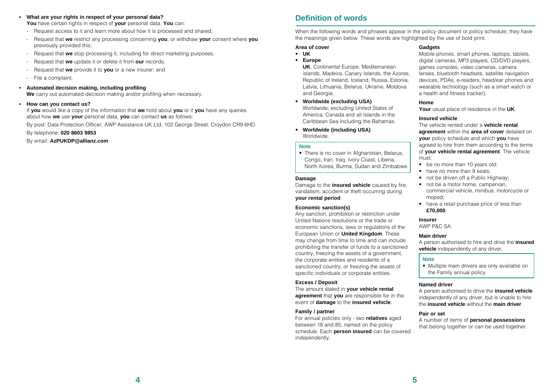# **• What are your rights in respect of your personal data?**

**You** have certain rights in respect of **your** personal data. **You** can:

- Request access to it and learn more about how it is processed and shared:
- Request that **we** restrict any processing concerning **you**, or withdraw **your** consent where **you** previously provided this;
- Request that **we** stop processing it, including for direct marketing purposes;
- Request that **we** update it or delete it from **our** records;
- Request that **we** provide it to **you** or a new insurer; and
- File a complaint.

# **• Automated decision making, including profiling**

**We** carry out automated decision making and/or profiling when necessary.

#### **• How can you contact us?**

If **you** would like a copy of the information that **we** hold about **you** or if **you** have any queries about how **we** use **your** personal data, **you** can contact **us** as follows:

By post: Data Protection Officer, AWP Assistance UK Ltd, 102 George Street, Croydon CR9 6HD

### By telephone: **020 8603 9853**

By email: **AzPUKDP@allianz.com**

# **Definition of words**

When the following words and phrases appear in the policy document or policy schedule, they have the meanings given below. These words are highlighted by the use of bold print.

# **Area of cover**

- **UK**
- **Europe**

**UK**, Continental Europe, Mediterranean islands, Madeira, Canary Islands, the Azores, Republic of Ireland, Iceland, Russia, Estonia, Latvia, Lithuania, Belarus, Ukraine, Moldova and Georgia.

- **Worldwide (excluding USA)** Worldwide, excluding United States of America, Canada and all Islands in the Caribbean Sea including the Bahamas.
- **Worldwide (including USA)** Worldwide.

#### **Note**

• There is no cover in Afghanistan, Belarus, Congo, Iran, Iraq, Ivory Coast, Liberia, North Korea, Burma, Sudan and Zimbabwe.

# **Damage**

Damage to the **insured vehicle** caused by fire, vandalism, accident or theft occurring during **your rental period**.

# **Economic sanction(s)**

Any sanction, prohibition or restriction under United Nations resolutions or the trade or economic sanctions, laws or regulations of the European Union or **United Kingdom**. These may change from time to time and can include prohibiting the transfer of funds to a sanctioned country, freezing the assets of a government, the corporate entities and residents of a sanctioned country, or freezing the assets of specific individuals or corporate entities.

# **Excess / Deposit**

The amount stated in **your vehicle rental agreement** that **you** are responsible for in the event of **damage** to the **insured vehicle**.

# **Family / partner**

For annual policies only - two **relatives** aged between 18 and 85, named on the policy schedule. Each **person insured** can be covered independently.

# **Gadgets**

Mobile phones, smart phones, laptops, tablets, digital cameras, MP3 players, CD/DVD players, games consoles, video cameras, camera lenses, bluetooth headsets, satellite navigation devices, PDAs, e-readers, head/ear phones and wearable technology (such as a smart watch or a health and fitness tracker).

# **Home**

**Your** usual place of residence in the **UK**.

# **Insured vehicle**

The vehicle rented under a **vehicle rental agreement** within the **area of cover** detailed on **your** policy schedule and which **you** have agreed to hire from them according to the terms of **your vehicle rental agreement**. The vehicle must:

- be no more than 10 years old;
- have no more than 9 seats:
- not be driven off a Public Highway:
- not be a motor home, campervan, commercial vehicle, minibus, motorcycle or moped;
- have a retail purchase price of less than **£70,000**.

# **Insurer**

AWP P&C SA.

# **Main driver**

A person authorised to hire and drive the **insured vehicle** independently of any driver.

#### **Note**

• Multiple main drivers are only available on the Family annual policy.

#### **Named driver**

A person authorised to drive the **insured vehicle** independently of any driver, but is unable to hire the **insured vehicle** without the **main driver**.

# **Pair or set**

A number of items of **personal possessions** that belong together or can be used together.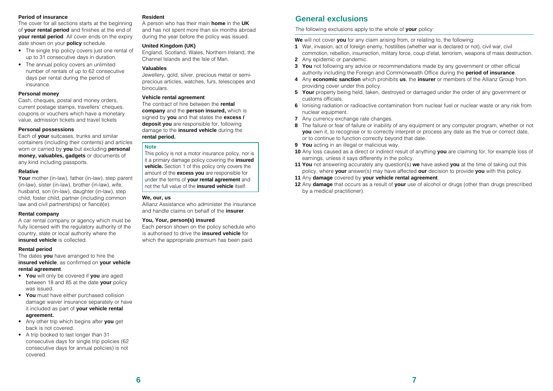#### **Period of insurance**

The cover for all sections starts at the beginning of **your rental period** and finishes at the end of **vour rental period**. All cover ends on the expiry date shown on your **policy** schedule.

- The single trip policy covers just one rental of up to 31 consecutive days in duration.
- The annual policy covers an unlimited number of rentals of up to 62 consecutive days per rental during the period of insurance.

# **Personal money**

Cash, cheques, postal and money orders, current postage stamps, travellers' cheques, coupons or vouchers which have a monetary value, admission tickets and travel tickets

# **Personal possessions**

Each of **your** suitcases, trunks and similar containers (including their contents) and articles worn or carried by **you** but excluding **personal money, valuables, gadgets** or documents of any kind including passports.

# **Relative**

**Your** mother (in-law), father (in-law), step parent (in-law), sister (in-law), brother (in-law), wife, husband, son (in-law), daughter (in-law), step child, foster child, partner (including common law and civil partnerships) or fiancé(e).

# **Rental company**

A car rental company or agency which must be fully licensed with the regulatory authority of the country, state or local authority where the **insured vehicle** is collected.

# **Rental period**

The dates **you** have arranged to hire the **insured vehicle**, as confirmed on **your vehicle rental agreement**.

- **You** will only be covered if **you** are aged between 18 and 85 at the date **your** policy was issued.
- **You** must have either purchased collision damage waiver insurance separately or have it included as part of **your vehicle rental agreement.**
- Any other trip which begins after **you** get back is not covered.
- A trip booked to last longer than 31 consecutive days for single trip policies (62 consecutive days for annual policies) is not covered.

# **Resident**

A person who has their main **home** in the **UK** and has not spent more than six months abroad during the year before the policy was issued.

# **United Kingdom (UK)**

England, Scotland, Wales, Northern Ireland, the Channel Islands and the Isle of Man.

# **Valuables**

Jewellery, gold, silver, precious metal or semiprecious articles, watches, furs, telescopes and binoculars.

# **Vehicle rental agreement**

The contract of hire between the **rental company** and the **person insured,** which is signed by **you** and that states the **excess / deposit you** are responsible for, following damage to the **insured vehicle** during the **rental period.**

# **Note**

This policy is not a motor insurance policy, nor is it a primary damage policy covering the **insured vehicle.** Section 1 of this policy only covers the amount of the **excess you** are responsible for under the terms of **your rental agreement** and not the full value of the **insured vehicle** itself.

# **We, our, us**

Allianz Assistance who administer the insurance and handle claims on behalf of the **insurer**.

# **You, Your, person(s) insured**

Each person shown on the policy schedule who is authorised to drive the **insured vehicle** for which the appropriate premium has been paid.

# **General exclusions**

The following exclusions apply to the whole of **your** policy:

**We** will not cover **you** for any claim arising from, or relating to, the following:

- **1** War, invasion, act of foreign enemy, hostilities (whether war is declared or not), civil war, civil commotion, rebellion, insurrection, military force, coup d'etat, terrorism, weapons of mass destruction.
- **2** Any epidemic or pandemic.
- **3 You** not following any advice or recommendations made by any government or other official authority including the Foreign and Commonwealth Office during the **period of insurance**.
- **4** Any **economic sanction** which prohibits **us**, the **insurer** or members of the Allianz Group from providing cover under this policy.
- **5 Your** property being held, taken, destroyed or damaged under the order of any government or customs officials.
- **6** Ionising radiation or radioactive contamination from nuclear fuel or nuclear waste or any risk from nuclear equipment.
- **7** Any currency exchange rate changes.
- **8** The failure or fear of failure or inability of any equipment or any computer program, whether or not **you** own it, to recognise or to correctly interpret or process any date as the true or correct date, or to continue to function correctly beyond that date.
- **9 You** acting in an illegal or malicious way.
- **10** Any loss caused as a direct or indirect result of anything **you** are claiming for, for example loss of earnings, unless it says differently in the policy.
- **11 You** not answering accurately any question(s) **we** have asked **you** at the time of taking out this policy, where **your** answer(s) may have affected **our** decision to provide **you** with this policy.
- **11** Any **damage** covered by **your vehicle rental agreement**.
- **12** Any **damage** that occurs as a result of **your** use of alcohol or drugs (other than drugs prescribed by a medical practitioner).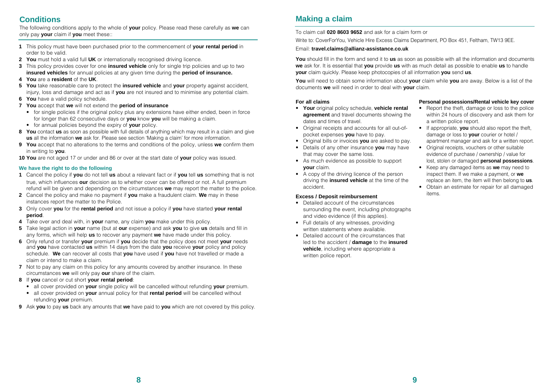# **Conditions**

The following conditions apply to the whole of **your** policy. Please read these carefully as **we** can only pay **your** claim if **you** meet these::

- **1** This policy must have been purchased prior to the commencement of **your rental period** in order to be valid.
- **2 You** must hold a valid full **UK** or internationally recognised driving licence.
- **3** This policy provides cover for one **insured vehicle** only for single trip policies and up to two **insured vehicles** for annual policies at any given time during the **period of insurance.**
- **4 You** are a **resident** of the **UK**.
- **5 You** take reasonable care to protect the **insured vehicle** and **your** property against accident, injury, loss and damage and act as if **you** are not insured and to minimise any potential claim.
- **6 You** have a valid policy schedule.
- **7 You** accept that **we** will not extend the **period of insurance**
	- for single policies if the original policy plus any extensions have either ended, been in force for longer than 62 consecutive days or **you** know **you** will be making a claim.
	- for annual policies beyond the expiry of **your** policy.
- **8 You** contact **us** as soon as possible with full details of anything which may result in a claim and give **us** all the information **we** ask for. Please see section 'Making a claim' for more information.
- **9 You** accept that no alterations to the terms and conditions of the policy, unless **we** confirm them in writing to **you**.
- **10 You** are not aged 17 or under and 86 or over at the start date of **your** policy was issued.

# **We have the right to do the following**

- **1** Cancel the policy if **you** do not tell **us** about a relevant fact or if **you** tell **us** something that is not true, which influences **our** decision as to whether cover can be offered or not. A full premium refund will be given and depending on the circumstances **we** may report the matter to the police.
- **2** Cancel the policy and make no payment if **you** make a fraudulent claim. **We** may in these instances report the matter to the Police.
- **3** Only cover **you** for the **rental period** and not issue a policy if **you** have started **your rental period**.
- **4** Take over and deal with, in **your** name, any claim **you** make under this policy.
- **5** Take legal action in **your** name (but at **our** expense) and ask **you** to give **us** details and fill in any forms, which will help **us** to recover any payment **we** have made under this policy.
- **6** Only refund or transfer **your** premium if **you** decide that the policy does not meet **your** needs and **you** have contacted **us** within 14 days from the date **you** receive **your** policy and policy schedule. **We** can recover all costs that **you** have used if **you** have not travelled or made a claim or intend to make a claim.
- **7** Not to pay any claim on this policy for any amounts covered by another insurance. In these circumstances **we** will only pay **our** share of the claim.
- **8** If **you** cancel or cut short **your rental period**:
	- all cover provided on **your** single policy will be cancelled without refunding **your** premium.
	- all cover provided on **your** annual policy for that **rental period** will be cancelled without refunding **your** premium.
- **9** Ask **you** to pay **us** back any amounts that **we** have paid to **you** which are not covered by this policy.

# **Making a claim**

# To claim call **020 8603 9652** and ask for a claim form or

Write to: CoverForYou, Vehicle Hire Excess Claims Department, PO Box 451, Feltham, TW13 9EE.

# Email: **travel.claims@allianz-assistance.co.uk**

**You** should fill in the form and send it to **us** as soon as possible with all the information and documents **we** ask for. It is essential that **you** provide **us** with as much detail as possible to enable **us** to handle **your** claim quickly. Please keep photocopies of all information **you** send **us**.

**You** will need to obtain some information about **your** claim while **you** are away. Below is a list of the documents **we** will need in order to deal with **your** claim.

# **For all claims**

- **Your** original policy schedule, **vehicle rental agreement** and travel documents showing the dates and times of travel.
- Original receipts and accounts for all out-ofpocket expenses **you** have to pay.
- Original bills or invoices **you** are asked to pay.
- Details of any other insurance **you** may have that may cover the same loss.
- As much evidence as possible to support **your** claim.
- A copy of the driving licence of the person driving the **insured vehicle** at the time of the accident.

# **Excess / Deposit reimbursement**

- Detailed account of the circumstances surrounding the event, including photographs and video evidence (if this applies).
- Full details of any witnesses, providing written statements where available.
- Detailed account of the circumstances that led to the accident / **damage** to the **insured vehicle**, including where appropriate a written police report.

# **Personal possessions/Rental vehicle key cover**

- Report the theft, damage or loss to the police within 24 hours of discovery and ask them for a written police report.
- If appropriate, **you** should also report the theft, damage or loss to **your** courier or hotel / apartment manager and ask for a written report.
- Original receipts, vouchers or other suitable evidence of purchase / ownership / value for lost, stolen or damaged **personal possessions**.
- Keep any damaged items as **we** may need to inspect them. If we make a payment, or **we** replace an item, the item will then belong to **us**. • Obtain an estimate for repair for all damaged items.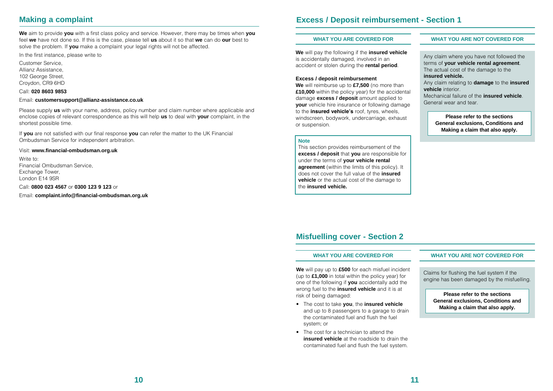# **Making a complaint**

**We** aim to provide **you** with a first class policy and service. However, there may be times when **you** feel **we** have not done so. If this is the case, please tell **us** about it so that **we** can do **our** best to solve the problem. If **you** make a complaint your legal rights will not be affected.

In the first instance, please write to

Customer Service, Allianz Assistance, 102 George Street, Croydon, CR9 6HD

# Call: **020 8603 9853**

#### Email: **customersupport@allianz-assistance.co.uk**

Please supply **us** with your name, address, policy number and claim number where applicable and enclose copies of relevant correspondence as this will help **us** to deal with **your** complaint, in the shortest possible time.

If **you** are not satisfied with our final response **you** can refer the matter to the UK Financial Ombudsman Service for independent arbitration.

# Visit: **www.financial-ombudsman.org.uk**

Write to: Financial Ombudsman Service, Exchange Tower, London E14 9SR

Call: **0800 023 4567** or **0300 123 9 123** or

Email: **complaint.info@financial-ombudsman.org.uk**

# **Excess / Deposit reimbursement - Section 1**

**We** will pay the following if the **insured vehicle** is accidentally damaged, involved in an accident or stolen during the **rental period**.

#### **Excess / deposit reimbursement**

**We** will reimburse up to **£7,500** (no more than **£10,000** within the policy year) for the accidental damage **excess / deposit** amount applied to **your** vehicle hire insurance or following damage to the **insured vehicle's** roof, tyres, wheels, windscreen, bodywork, undercarriage, exhaust or suspension.

#### **Note**

This section provides reimbursement of the **excess / deposit** that **you** are responsible for under the terms of **your vehicle rental agreement** (within the limits of this policy). It does not cover the full value of the **insured vehicle** or the actual cost of the damage to the **insured vehicle.**

# **WHAT YOU ARE COVERED FOR WHAT YOU ARE NOT COVERED FOR**

Any claim where you have not followed the terms of **your vehicle rental agreement**. The actual cost of the damage to the **insured vehicle.** 

Any claim relating to **damage** to the **insured vehicle** interior.

Mechanical failure of the **insured vehicle**. General wear and tear.

> **Please refer to the sections General exclusions, Conditions and Making a claim that also apply.**

# **Misfuelling cover - Section 2**

**We** will pay up to **£500** for each misfuel incident (up to **£1,000** in total within the policy year) for one of the following if **you** accidentally add the wrong fuel to the **insured vehicle** and it is at risk of being damaged:

- The cost to take **you**, the **insured vehicle**  and up to 8 passengers to a garage to drain the contaminated fuel and flush the fuel system; or
- The cost for a technician to attend the **insured vehicle** at the roadside to drain the contaminated fuel and flush the fuel system.

#### **WHAT YOU ARE COVERED FOR WHAT YOU ARE NOT COVERED FOR**

Claims for flushing the fuel system if the engine has been damaged by the misfuelling.

**Please refer to the sections General exclusions, Conditions and Making a claim that also apply.**